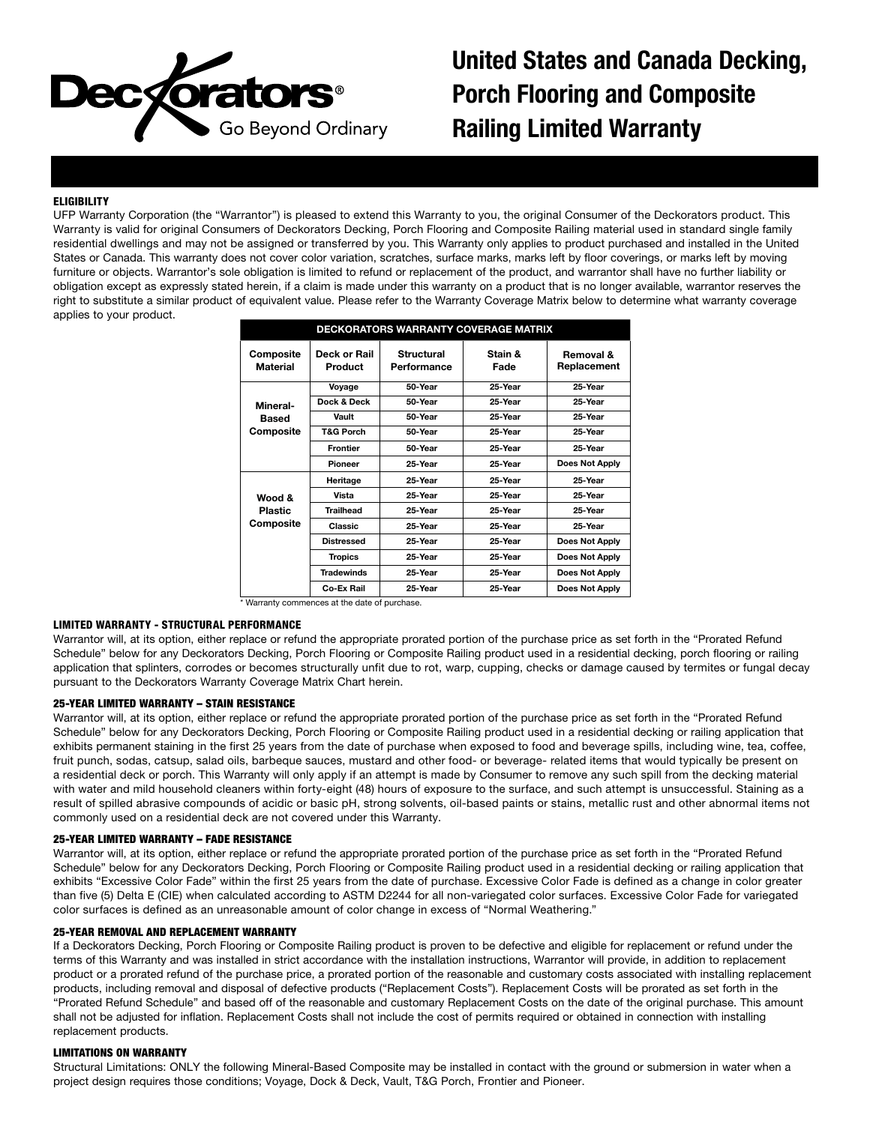

United States and Canada Decking, Porch Flooring and Composite Railing Limited Warranty

# **ELIGIBILITY**

UFP Warranty Corporation (the "Warrantor") is pleased to extend this Warranty to you, the original Consumer of the Deckorators product. This Warranty is valid for original Consumers of Deckorators Decking, Porch Flooring and Composite Railing material used in standard single family residential dwellings and may not be assigned or transferred by you. This Warranty only applies to product purchased and installed in the United States or Canada. This warranty does not cover color variation, scratches, surface marks, marks left by floor coverings, or marks left by moving furniture or objects. Warrantor's sole obligation is limited to refund or replacement of the product, and warrantor shall have no further liability or obligation except as expressly stated herein, if a claim is made under this warranty on a product that is no longer available, warrantor reserves the right to substitute a similar product of equivalent value. Please refer to the Warranty Coverage Matrix below to determine what warranty coverage applies to your product.

| <b>DECKORATORS WARRANTY COVERAGE MATRIX</b>      |                         |                                  |                 |                          |  |
|--------------------------------------------------|-------------------------|----------------------------------|-----------------|--------------------------|--|
| Composite<br><b>Material</b>                     | Deck or Rail<br>Product | <b>Structural</b><br>Performance | Stain &<br>Fade | Removal &<br>Replacement |  |
| Mineral-<br>Based<br>Composite                   | Voyage                  | 50-Year                          | 25-Year         | 25-Year                  |  |
|                                                  | Dock & Deck             | 50-Year                          | 25-Year         | 25-Year                  |  |
|                                                  | Vault                   | 50-Year                          | 25-Year         | 25-Year                  |  |
|                                                  | <b>T&amp;G Porch</b>    | 50-Year                          | 25-Year         | 25-Year                  |  |
|                                                  | <b>Frontier</b>         | 50-Year                          | 25-Year         | 25-Year                  |  |
|                                                  | Pioneer                 | 25-Year                          | 25-Year         | Does Not Apply           |  |
| <b>Wood &amp;</b><br><b>Plastic</b><br>Composite | Heritage                | 25-Year                          | 25-Year         | 25-Year                  |  |
|                                                  | Vista                   | 25-Year                          | 25-Year         | 25-Year                  |  |
|                                                  | <b>Trailhead</b>        | 25-Year                          | 25-Year         | 25-Year                  |  |
|                                                  | Classic                 | 25-Year                          | 25-Year         | 25-Year                  |  |
|                                                  | <b>Distressed</b>       | 25-Year                          | 25-Year         | Does Not Apply           |  |
|                                                  | <b>Tropics</b>          | 25-Year                          | 25-Year         | Does Not Apply           |  |
|                                                  | <b>Tradewinds</b>       | 25-Year                          | 25-Year         | Does Not Apply           |  |
|                                                  | Co-Ex Rail              | 25-Year                          | 25-Year         | Does Not Apply           |  |

\* Warranty commences at the date of purchase.

### LIMITED WARRANTY - STRUCTURAL PERFORMANCE

Warrantor will, at its option, either replace or refund the appropriate prorated portion of the purchase price as set forth in the "Prorated Refund Schedule" below for any Deckorators Decking, Porch Flooring or Composite Railing product used in a residential decking, porch flooring or railing application that splinters, corrodes or becomes structurally unfit due to rot, warp, cupping, checks or damage caused by termites or fungal decay pursuant to the Deckorators Warranty Coverage Matrix Chart herein.

### 25-YEAR LIMITED WARRANTY – STAIN RESISTANCE

Warrantor will, at its option, either replace or refund the appropriate prorated portion of the purchase price as set forth in the "Prorated Refund Schedule" below for any Deckorators Decking, Porch Flooring or Composite Railing product used in a residential decking or railing application that exhibits permanent staining in the first 25 years from the date of purchase when exposed to food and beverage spills, including wine, tea, coffee, fruit punch, sodas, catsup, salad oils, barbeque sauces, mustard and other food- or beverage- related items that would typically be present on a residential deck or porch. This Warranty will only apply if an attempt is made by Consumer to remove any such spill from the decking material with water and mild household cleaners within forty-eight (48) hours of exposure to the surface, and such attempt is unsuccessful. Staining as a result of spilled abrasive compounds of acidic or basic pH, strong solvents, oil-based paints or stains, metallic rust and other abnormal items not commonly used on a residential deck are not covered under this Warranty.

### 25-YEAR LIMITED WARRANTY – FADE RESISTANCE

Warrantor will, at its option, either replace or refund the appropriate prorated portion of the purchase price as set forth in the "Prorated Refund Schedule" below for any Deckorators Decking, Porch Flooring or Composite Railing product used in a residential decking or railing application that exhibits "Excessive Color Fade" within the first 25 years from the date of purchase. Excessive Color Fade is defined as a change in color greater than five (5) Delta E (CIE) when calculated according to ASTM D2244 for all non-variegated color surfaces. Excessive Color Fade for variegated color surfaces is defined as an unreasonable amount of color change in excess of "Normal Weathering."

### 25-YEAR REMOVAL AND REPLACEMENT WARRANTY

If a Deckorators Decking, Porch Flooring or Composite Railing product is proven to be defective and eligible for replacement or refund under the terms of this Warranty and was installed in strict accordance with the installation instructions, Warrantor will provide, in addition to replacement product or a prorated refund of the purchase price, a prorated portion of the reasonable and customary costs associated with installing replacement products, including removal and disposal of defective products ("Replacement Costs"). Replacement Costs will be prorated as set forth in the "Prorated Refund Schedule" and based off of the reasonable and customary Replacement Costs on the date of the original purchase. This amount shall not be adjusted for inflation. Replacement Costs shall not include the cost of permits required or obtained in connection with installing replacement products.

## LIMITATIONS ON WARRANTY

Structural Limitations: ONLY the following Mineral-Based Composite may be installed in contact with the ground or submersion in water when a project design requires those conditions; Voyage, Dock & Deck, Vault, T&G Porch, Frontier and Pioneer.